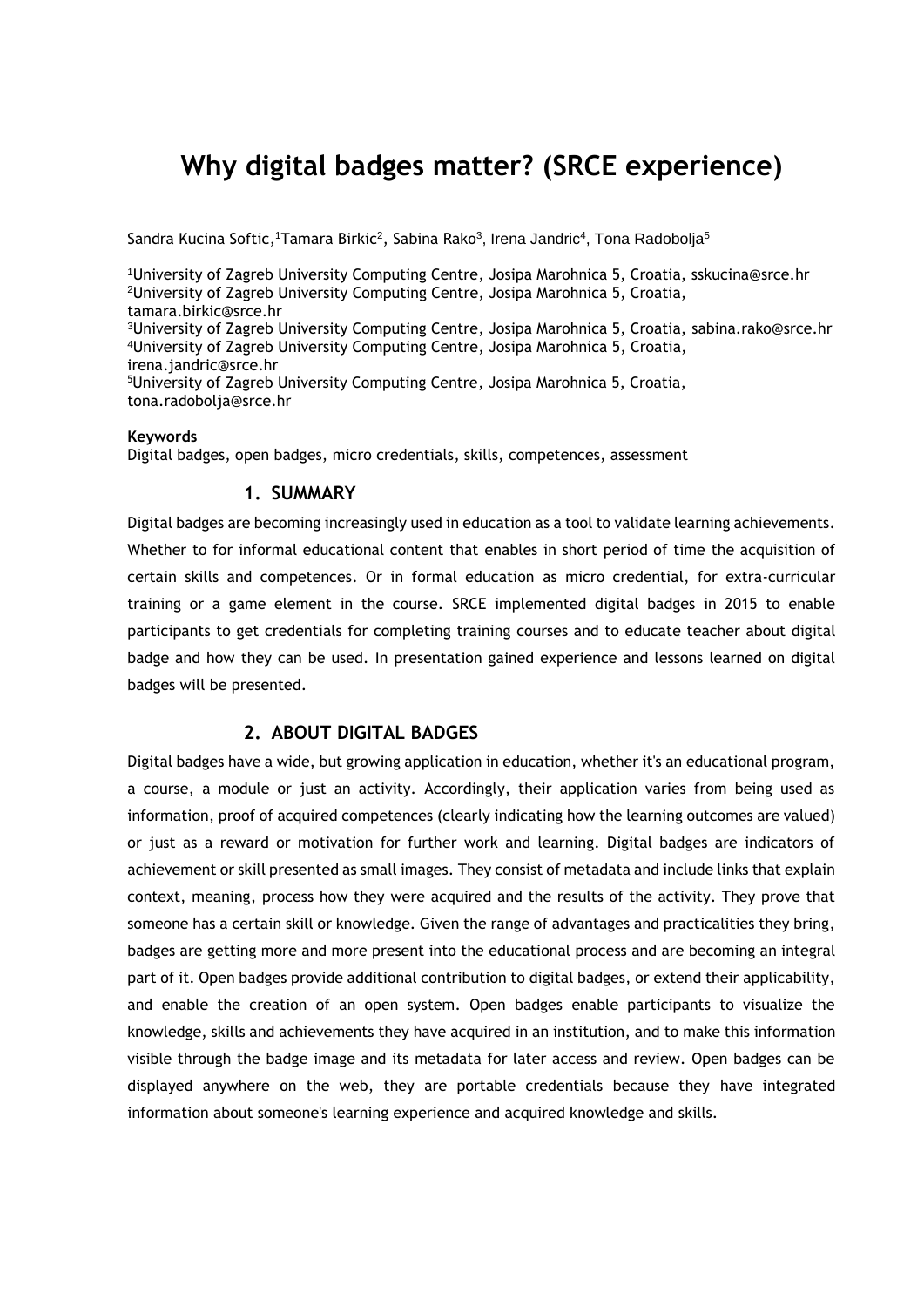# **Why digital badges matter? (SRCE experience)**

Sandra Kucina Softic, ITamara Birkic<sup>2</sup>, Sabina Rako<sup>3</sup>, Irena Jandric<sup>4</sup>, Tona Radobolja<sup>5</sup>

University of Zagreb University Computing Centre, Josipa Marohnica 5, Croatia, sskucina@srce.hr University of Zagreb University Computing Centre, Josipa Marohnica 5, Croatia, tamara.birkic@srce.hr University of Zagreb University Computing Centre, Josipa Marohnica 5, Croatia, sabina.rako@srce.hr University of Zagreb University Computing Centre, Josipa Marohnica 5, Croatia, irena.jandric@srce.hr University of Zagreb University Computing Centre, Josipa Marohnica 5, Croatia, tona.radobolja@srce.hr

#### **Keywords**

Digital badges, open badges, micro credentials, skills, competences, assessment

## **1. SUMMARY**

Digital badges are becoming increasingly used in education as a tool to validate learning achievements. Whether to for informal educational content that enables in short period of time the acquisition of certain skills and competences. Or in formal education as micro credential, for extra-curricular training or a game element in the course. SRCE implemented digital badges in 2015 to enable participants to get credentials for completing training courses and to educate teacher about digital badge and how they can be used. In presentation gained experience and lessons learned on digital badges will be presented.

### **2. ABOUT DIGITAL BADGES**

Digital badges have a wide, but growing application in education, whether it's an educational program, a course, a module or just an activity. Accordingly, their application varies from being used as information, proof of acquired competences (clearly indicating how the learning outcomes are valued) or just as a reward or motivation for further work and learning. Digital badges are indicators of achievement or skill presented as small images. They consist of metadata and include links that explain context, meaning, process how they were acquired and the results of the activity. They prove that someone has a certain skill or knowledge. Given the range of advantages and practicalities they bring, badges are getting more and more present into the educational process and are becoming an integral part of it. Open badges provide additional contribution to digital badges, or extend their applicability, and enable the creation of an open system. Open badges enable participants to visualize the knowledge, skills and achievements they have acquired in an institution, and to make this information visible through the badge image and its metadata for later access and review. Open badges can be displayed anywhere on the web, they are portable credentials because they have integrated information about someone's learning experience and acquired knowledge and skills.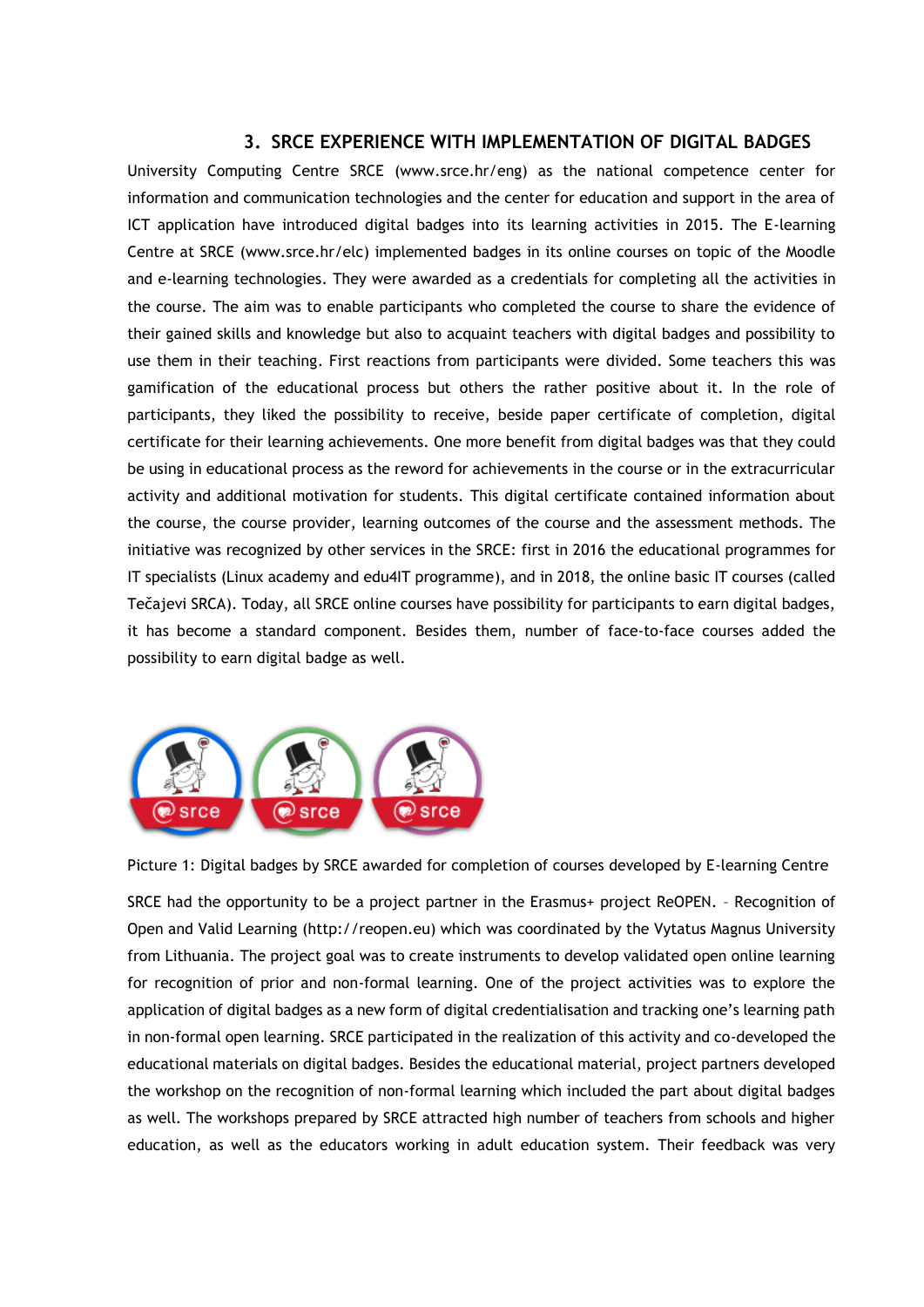## **3. SRCE EXPERIENCE WITH IMPLEMENTATION OF DIGITAL BADGES**

University Computing Centre SRCE (www.srce.hr/eng) as the national competence center for information and communication technologies and the center for education and support in the area of ICT application have introduced digital badges into its learning activities in 2015. The E-learning Centre at SRCE [\(www.srce.hr/elc\)](http://www.srce.hr/elc) implemented badges in its online courses on topic of the Moodle and e-learning technologies. They were awarded as a credentials for completing all the activities in the course. The aim was to enable participants who completed the course to share the evidence of their gained skills and knowledge but also to acquaint teachers with digital badges and possibility to use them in their teaching. First reactions from participants were divided. Some teachers this was gamification of the educational process but others the rather positive about it. In the role of participants, they liked the possibility to receive, beside paper certificate of completion, digital certificate for their learning achievements. One more benefit from digital badges was that they could be using in educational process as the reword for achievements in the course or in the extracurricular activity and additional motivation for students. This digital certificate contained information about the course, the course provider, learning outcomes of the course and the assessment methods. The initiative was recognized by other services in the SRCE: first in 2016 the educational programmes for IT specialists (Linux academy and edu4IT programme), and in 2018, the online basic IT courses (called Tečajevi SRCA). Today, all SRCE online courses have possibility for participants to earn digital badges, it has become a standard component. Besides them, number of face-to-face courses added the possibility to earn digital badge as well.



Picture 1: Digital badges by SRCE awarded for completion of courses developed by E-learning Centre

SRCE had the opportunity to be a project partner in the Erasmus+ project ReOPEN. – Recognition of Open and Valid Learning (http://reopen.eu) which was coordinated by the Vytatus Magnus University from Lithuania. The project goal was to create instruments to develop validated open online learning for recognition of prior and non-formal learning. One of the project activities was to explore the application of digital badges as a new form of digital credentialisation and tracking one's learning path in non-formal open learning. SRCE participated in the realization of this activity and co-developed the educational materials on digital badges. Besides the educational material, project partners developed the workshop on the recognition of non-formal learning which included the part about digital badges as well. The workshops prepared by SRCE attracted high number of teachers from schools and higher education, as well as the educators working in adult education system. Their feedback was very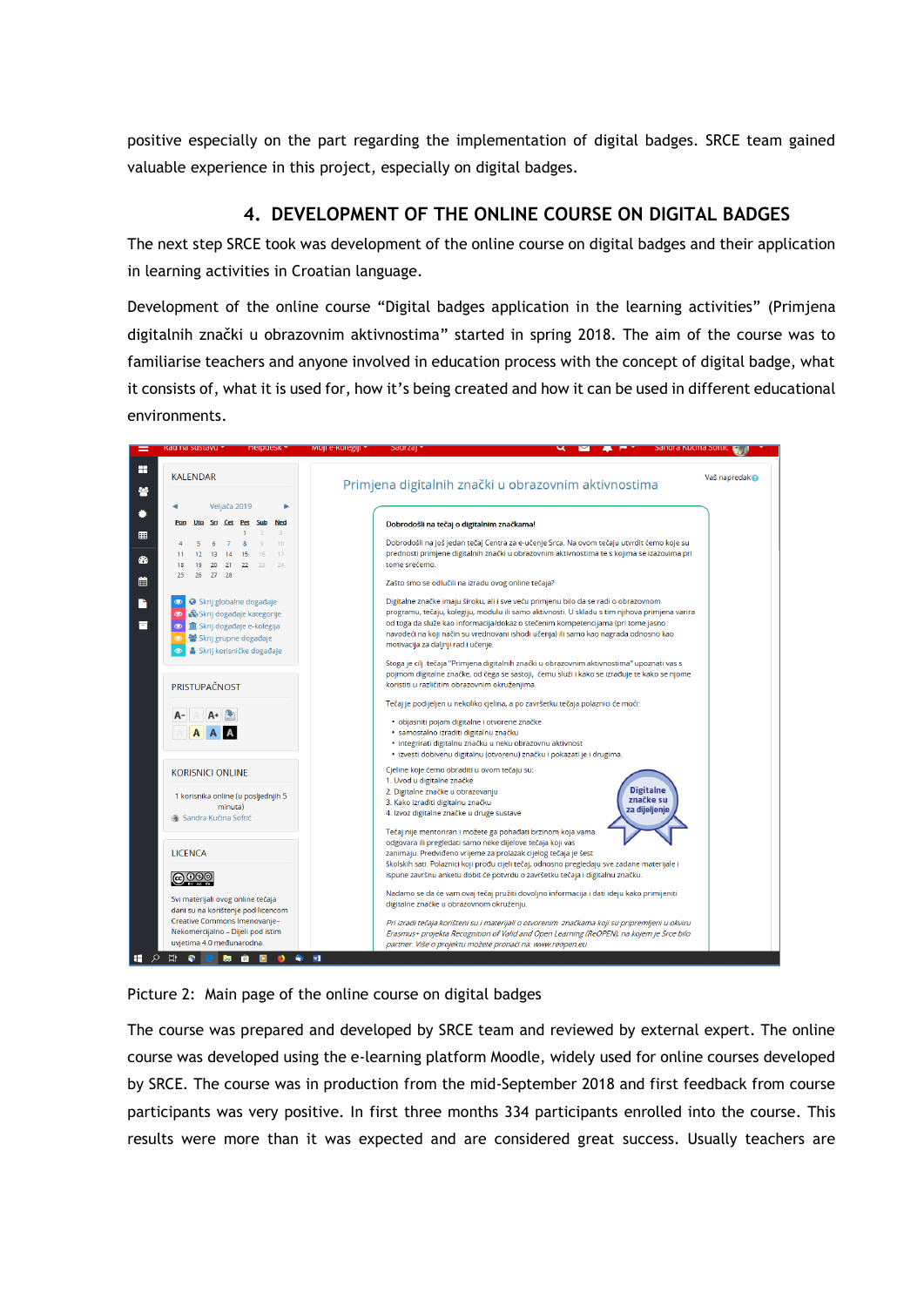positive especially on the part regarding the implementation of digital badges. SRCE team gained valuable experience in this project, especially on digital badges.

# **4. DEVELOPMENT OF THE ONLINE COURSE ON DIGITAL BADGES**

The next step SRCE took was development of the online course on digital badges and their application in learning activities in Croatian language.

Development of the online course "Digital badges application in the learning activities" (Primjena digitalnih znački u obrazovnim aktivnostima" started in spring 2018. The aim of the course was to familiarise teachers and anyone involved in education process with the concept of digital badge, what it consists of, what it is used for, how it's being created and how it can be used in different educational environments.



Picture 2: Main page of the online course on digital badges

The course was prepared and developed by SRCE team and reviewed by external expert. The online course was developed using the e-learning platform Moodle, widely used for online courses developed by SRCE. The course was in production from the mid-September 2018 and first feedback from course participants was very positive. In first three months 334 participants enrolled into the course. This results were more than it was expected and are considered great success. Usually teachers are